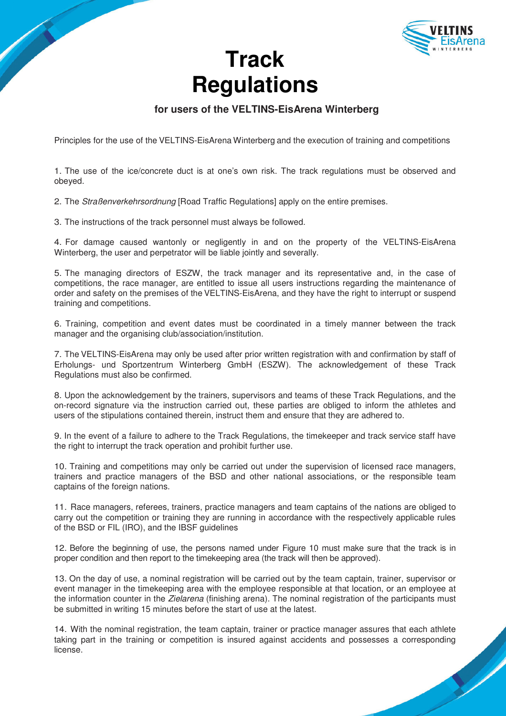

## **Track Regulations**

## **for users of the VELTINS-EisArena Winterberg**

Principles for the use of the VELTINS-EisArena Winterberg and the execution of training and competitions

1. The use of the ice/concrete duct is at one's own risk. The track regulations must be observed and obeyed.

2. The Straßenverkehrsordnung [Road Traffic Regulations] apply on the entire premises.

3. The instructions of the track personnel must always be followed.

4. For damage caused wantonly or negligently in and on the property of the VELTINS-EisArena Winterberg, the user and perpetrator will be liable jointly and severally.

5. The managing directors of ESZW, the track manager and its representative and, in the case of competitions, the race manager, are entitled to issue all users instructions regarding the maintenance of order and safety on the premises of the VELTINS-EisArena, and they have the right to interrupt or suspend training and competitions.

6. Training, competition and event dates must be coordinated in a timely manner between the track manager and the organising club/association/institution.

7. The VELTINS-EisArena may only be used after prior written registration with and confirmation by staff of Erholungs- und Sportzentrum Winterberg GmbH (ESZW). The acknowledgement of these Track Regulations must also be confirmed.

8. Upon the acknowledgement by the trainers, supervisors and teams of these Track Regulations, and the on-record signature via the instruction carried out, these parties are obliged to inform the athletes and users of the stipulations contained therein, instruct them and ensure that they are adhered to.

9. In the event of a failure to adhere to the Track Regulations, the timekeeper and track service staff have the right to interrupt the track operation and prohibit further use.

10. Training and competitions may only be carried out under the supervision of licensed race managers, trainers and practice managers of the BSD and other national associations, or the responsible team captains of the foreign nations.

11. Race managers, referees, trainers, practice managers and team captains of the nations are obliged to carry out the competition or training they are running in accordance with the respectively applicable rules of the BSD or FIL (IRO), and the IBSF guidelines

12. Before the beginning of use, the persons named under Figure 10 must make sure that the track is in proper condition and then report to the timekeeping area (the track will then be approved).

13. On the day of use, a nominal registration will be carried out by the team captain, trainer, supervisor or event manager in the timekeeping area with the employee responsible at that location, or an employee at the information counter in the Zielarena (finishing arena). The nominal registration of the participants must be submitted in writing 15 minutes before the start of use at the latest.

14. With the nominal registration, the team captain, trainer or practice manager assures that each athlete taking part in the training or competition is insured against accidents and possesses a corresponding license.